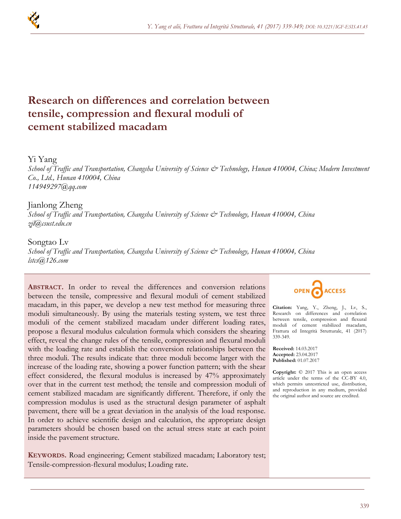

# **Research on differences and correlation between tensile, compression and flexural moduli of cement stabilized macadam**

## Yi Yang

*School of Traffic and Transportation, Changsha University of Science & Technology, Hunan 410004, China; Modern Investment Co., Ltd., Hunan 410004, China 114949297@qq.com*

## Jianlong Zheng

*School of Traffic and Transportation, Changsha University of Science & Technology, Hunan 410004, China zjl@csust.edu.cn*

## Songtao Lv

*School of Traffic and Transportation, Changsha University of Science & Technology, Hunan 410004, China lstcs@126.com*

**ABSTRACT.** In order to reveal the differences and conversion relations between the tensile, compressive and flexural moduli of cement stabilized macadam, in this paper, we develop a new test method for measuring three moduli simultaneously. By using the materials testing system, we test three moduli of the cement stabilized macadam under different loading rates, propose a flexural modulus calculation formula which considers the shearing effect, reveal the change rules of the tensile, compression and flexural moduli with the loading rate and establish the conversion relationships between the three moduli. The results indicate that: three moduli become larger with the increase of the loading rate, showing a power function pattern; with the shear effect considered, the flexural modulus is increased by 47% approximately over that in the current test method; the tensile and compression moduli of cement stabilized macadam are significantly different. Therefore, if only the compression modulus is used as the structural design parameter of asphalt pavement, there will be a great deviation in the analysis of the load response. In order to achieve scientific design and calculation, the appropriate design parameters should be chosen based on the actual stress state at each point inside the pavement structure.

**KEYWORDS.** Road engineering; Cement stabilized macadam; Laboratory test; Tensile-compression-flexural modulus; Loading rate.



**Citation:** Yang, Y., Zheng, J., Lv, S., Research on differences and correlation between tensile, compression and flexural moduli of cement stabilized macadam, Frattura ed Integrità Strutturale, 41 (2017) 339-349.

**Received:** 14.03.2017 **Accepted:** 23.04.2017 **Published:** 01.07.2017

**Copyright:** © 2017 This is an open access article under the terms of the CC-BY 4.0, which permits unrestricted use, distribution, and reproduction in any medium, provided the original author and source are credited.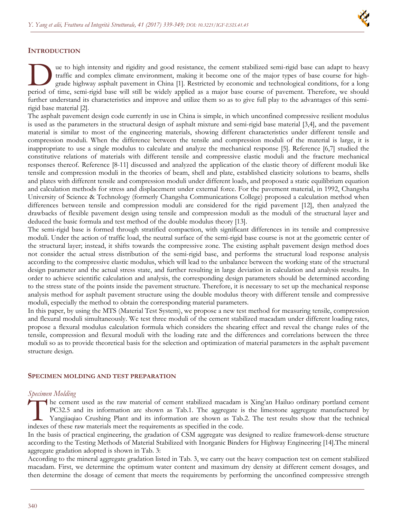## **INTRODUCTION**

ue to high intensity and rigidity and good resistance, the cement stabilized semi-rigid base can adapt to heavy traffic and complex climate environment, making it become one of the major types of base course for highgrade highway asphalt pavement in China [1]. Restricted by economic and technological conditions, for a long The to high intensity and rigidity and good resistance, the cement stabilized semi-rigid base can adapt to heavy traffic and complex climate environment, making it become one of the major types of base course for high-<br>gra further understand its characteristics and improve and utilize them so as to give full play to the advantages of this semirigid base material [2].

The asphalt pavement design code currently in use in China is simple, in which unconfined compressive resilient modulus is used as the parameters in the structural design of asphalt mixture and semi-rigid base material [3,4], and the pavement material is similar to most of the engineering materials, showing different characteristics under different tensile and compression moduli. When the difference between the tensile and compression moduli of the material is large, it is inappropriate to use a single modulus to calculate and analyze the mechanical response [5]. Reference [6,7] studied the constitutive relations of materials with different tensile and compressive elastic moduli and the fracture mechanical responses thereof. Reference [8-11] discussed and analyzed the application of the elastic theory of different moduli like tensile and compression moduli in the theories of beam, shell and plate, established elasticity solutions to beams, shells and plates with different tensile and compression moduli under different loads, and proposed a static equilibrium equation and calculation methods for stress and displacement under external force. For the pavement material, in 1992, Changsha University of Science & Technology (formerly Changsha Communications College) proposed a calculation method when differences between tensile and compression moduli are considered for the rigid pavement [12], then analyzed the drawbacks of flexible pavement design using tensile and compression moduli as the moduli of the structural layer and deduced the basic formula and test method of the double modulus theory [13].

The semi-rigid base is formed through stratified compaction, with significant differences in its tensile and compressive moduli. Under the action of traffic load, the neutral surface of the semi-rigid base course is not at the geometric center of the structural layer; instead, it shifts towards the compressive zone. The existing asphalt pavement design method does not consider the actual stress distribution of the semi-rigid base, and performs the structural load response analysis according to the compressive elastic modulus, which will lead to the unbalance between the working state of the structural design parameter and the actual stress state, and further resulting in large deviation in calculation and analysis results. In order to achieve scientific calculation and analysis, the corresponding design parameters should be determined according to the stress state of the points inside the pavement structure. Therefore, it is necessary to set up the mechanical response analysis method for asphalt pavement structure using the double modulus theory with different tensile and compressive moduli, especially the method to obtain the corresponding material parameters.

In this paper, by using the MTS (Material Test System), we propose a new test method for measuring tensile, compression and flexural moduli simultaneously. We test three moduli of the cement stabilized macadam under different loading rates, propose a flexural modulus calculation formula which considers the shearing effect and reveal the change rules of the tensile, compression and flexural moduli with the loading rate and the differences and correlations between the three moduli so as to provide theoretical basis for the selection and optimization of material parameters in the asphalt pavement structure design.

#### **SPECIMEN MOLDING AND TEST PREPARATION**

#### *Specimen Molding*

he cement used as the raw material of cement stabilized macadam is Xing'an Hailuo ordinary portland cement PC32.5 and its information are shown as Tab.1. The aggregate is the limestone aggregate manufactured by Yangjiaqiao Crushing Plant and its information are shown as Tab.2. The test results show that the technical Indexes of these raw materials meet the requirements as specified in the code.<br>
Tangliaquao Crushing Plant and its information are shown as Tab.<br>
Indexes of these raw materials meet the requirements as specified in the cod

In the basis of practical engineering, the gradation of CSM aggregate was designed to realize framework-dense structure according to the Testing Methods of Material Stabilized with Inorganic Binders for Highway Engineering [14].The mineral aggregate gradation adopted is shown in Tab. 3:

According to the mineral aggregate gradation listed in Tab. 3, we carry out the heavy compaction test on cement stabilized macadam. First, we determine the optimum water content and maximum dry density at different cement dosages, and then determine the dosage of cement that meets the requirements by performing the unconfined compressive strength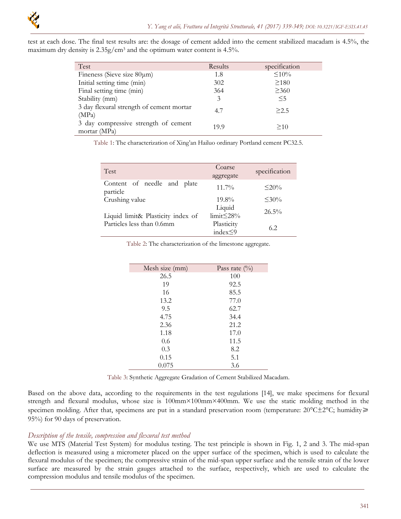

test at each dose. The final test results are: the dosage of cement added into the cement stabilized macadam is 4.5%, the maximum dry density is  $2.35g/cm<sup>3</sup>$  and the optimum water content is 4.5%.

| Test                                                 | Results | specification |
|------------------------------------------------------|---------|---------------|
| Fineness (Sieve size $80 \mu m$ )                    | 1.8     | $\leq 10\%$   |
| Initial setting time (min)                           | 302     | $\geq$ 180    |
| Final setting time (min)                             | 364     | $\geq 360$    |
| Stability (mm)                                       | 3       | $\leq$ 5      |
| 3 day flexural strength of cement mortar<br>(MPa)    | 4.7     | >2.5          |
| 3 day compressive strength of cement<br>mortar (MPa) | 19.9    | >10           |

Table 1: The characterization of Xing'an Hailuo ordinary Portland cement PC32.5.

| <b>Test</b>                             | Coarse<br>aggregate      | specification |
|-----------------------------------------|--------------------------|---------------|
| Content of needle and plate<br>particle | $11.7\%$                 | $\leq$ 20%    |
| Crushing value                          | $19.8\%$                 | $\leq 30\%$   |
| Liquid limit& Plasticity index of       | Liquid<br>$limit < 28\%$ | $26.5\%$      |
| Particles less than 0.6mm               | Plasticity<br>index < 9  | 6.2           |

Table 2: The characterization of the limestone aggregate.

| Mesh size (mm) | Pass rate $(\%)$ |
|----------------|------------------|
| 26.5           | 100              |
| 19             | 92.5             |
| 16             | 85.5             |
| 13.2           | 77.0             |
| 9.5            | 62.7             |
| 4.75           | 34.4             |
| 2.36           | 21.2             |
| 1.18           | 17.0             |
| 0.6            | 11.5             |
| 0.3            | 8.2              |
| 0.15           | 5.1              |
| 0.075          | 3.6              |

Table 3: Synthetic Aggregate Gradation of Cement Stabilized Macadam.

Based on the above data, according to the requirements in the test regulations [14], we make specimens for flexural strength and flexural modulus, whose size is 100mm×100mm×400mm. We use the static molding method in the specimen molding. After that, specimens are put in a standard preservation room (temperature: 20°C±2°C; humidity≥ 95%) for 90 days of preservation.

#### *Description of the tensile, compression and flexural test method*

We use MTS (Material Test System) for modulus testing. The test principle is shown in Fig. 1, 2 and 3. The mid-span deflection is measured using a micrometer placed on the upper surface of the specimen, which is used to calculate the flexural modulus of the specimen; the compressive strain of the mid-span upper surface and the tensile strain of the lower surface are measured by the strain gauges attached to the surface, respectively, which are used to calculate the compression modulus and tensile modulus of the specimen.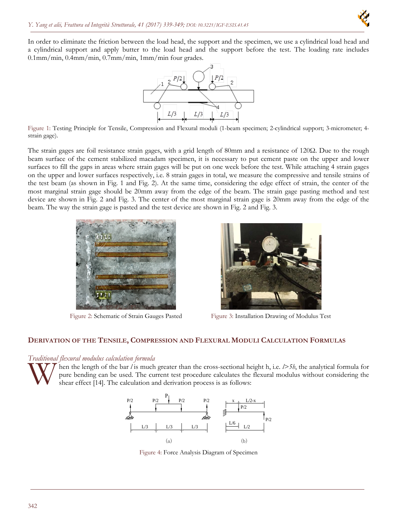

In order to eliminate the friction between the load head, the support and the specimen, we use a cylindrical load head and a cylindrical support and apply butter to the load head and the support before the test. The loading rate includes 0.1mm/min, 0.4mm/min, 0.7mm/min, 1mm/min four grades.



Figure 1: Testing Principle for Tensile, Compression and Flexural moduli (1-beam specimen; 2-cylindrical support; 3-micrometer; 4 strain gage).

The strain gages are foil resistance strain gages, with a grid length of 80mm and a resistance of 120Ω. Due to the rough beam surface of the cement stabilized macadam specimen, it is necessary to put cement paste on the upper and lower surfaces to fill the gaps in areas where strain gages will be put on one week before the test. While attaching 4 strain gages on the upper and lower surfaces respectively, i.e. 8 strain gages in total, we measure the compressive and tensile strains of the test beam (as shown in Fig. 1 and Fig. 2). At the same time, considering the edge effect of strain, the center of the most marginal strain gage should be 20mm away from the edge of the beam. The strain gage pasting method and test device are shown in Fig. 2 and Fig. 3. The center of the most marginal strain gage is 20mm away from the edge of the beam. The way the strain gage is pasted and the test device are shown in Fig. 2 and Fig. 3.





Figure 2: Schematic of Strain Gauges Pasted Figure 3: Installation Drawing of Modulus Test

#### **DERIVATION OF THE TENSILE, COMPRESSION AND FLEXURAL MODULI CALCULATION FORMULAS**

#### *Traditional flexural modulus calculation formula*



hen the length of the bar *l* is much greater than the cross-sectional height h, i.e. *l>5h*, the analytical formula for pure bending can be used. The current test procedure calculates the flexural modulus without considering the shear effect [14]. The calculation and derivation process is as follows:



Figure 4: Force Analysis Diagram of Specimen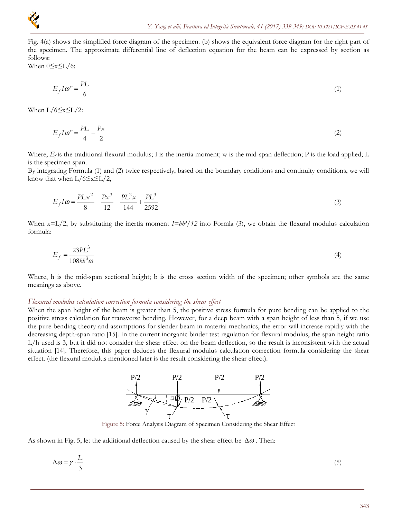

Fig. 4(a) shows the simplified force diagram of the specimen. (b) shows the equivalent force diagram for the right part of the specimen. The approximate differential line of deflection equation for the beam can be expressed by section as follows:

When  $0 \le x \le L/6$ :

$$
E_f I \omega = \frac{PL}{6} \tag{1}
$$

When  $L/6 \le x \le L/2$ :

$$
E_f I \omega = \frac{PL}{4} - \frac{Px}{2} \tag{2}
$$

Where,  $E_f$  is the traditional flexural modulus; I is the inertia moment; w is the mid-span deflection; P is the load applied; L is the specimen span.

By integrating Formula (1) and (2) twice respectively, based on the boundary conditions and continuity conditions, we will know that when  $L/6 \le x \le L/2$ ,

$$
E_f I\omega = \frac{PLx^2}{8} - \frac{Px^3}{12} - \frac{PL^2x}{144} + \frac{PL^3}{2592}
$$
 (3)

When  $x=L/2$ , by substituting the inertia moment  $I=bh^{3}/12$  into Formla (3), we obtain the flexural modulus calculation formula:

$$
E_f = \frac{23PL^3}{108bb^3\omega} \tag{4}
$$

Where, h is the mid-span sectional height; b is the cross section width of the specimen; other symbols are the same meanings as above.

#### *Flexural modulus calculation correction formula considering the shear effect*

When the span height of the beam is greater than 5, the positive stress formula for pure bending can be applied to the positive stress calculation for transverse bending. However, for a deep beam with a span height of less than 5, if we use the pure bending theory and assumptions for slender beam in material mechanics, the error will increase rapidly with the decreasing depth-span ratio [15]. In the current inorganic binder test regulation for flexural modulus, the span height ratio L/h used is 3, but it did not consider the shear effect on the beam deflection, so the result is inconsistent with the actual situation [14]. Therefore, this paper deduces the flexural modulus calculation correction formula considering the shear effect. (the flexural modulus mentioned later is the result considering the shear effect).



Figure 5: Force Analysis Diagram of Specimen Considering the Shear Effect

As shown in Fig. 5, let the additional deflection caused by the shear effect be  $\Delta\omega$ . Then:

$$
\Delta \omega = \gamma \cdot \frac{L}{3} \tag{5}
$$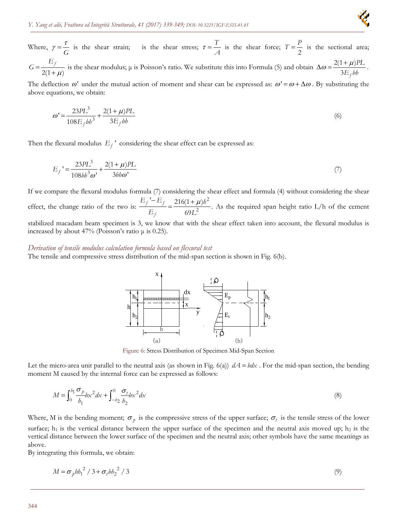

Where,  $\gamma = \frac{\tau}{G}$  is the shear strain; is the shear stress;  $\tau = \frac{T}{A}$  is the shear force;  $T = \frac{P}{2}$  is the sectional area;  $=\frac{-f}{2(1+\mu)}$  $G = \frac{E_f}{\gamma}$  is the shear modulus;  $\mu$  is Poisson's ratio. We substitute this into Formula (5) and obtain  $\Delta \omega = \frac{2(1 + \mu)}{2E}$  $3E<sub>f</sub>$  $\frac{P+ \mu}{E_f}$ .

The deflection  $\omega'$  under the mutual action of moment and shear can be expressed as:  $\omega' = \omega + \Delta \omega$ . By substituting the above equations, we obtain:

$$
\omega' = \frac{23PL^3}{108E_f b b^3} + \frac{2(1+\mu)PL}{3E_f b b}
$$
(6)

Then the flexural modulus  $E_f$ <sup>,</sup> considering the shear effect can be expressed as:

$$
E_f = \frac{23PL^3}{108bb^3\omega'} + \frac{2(1+\mu)PL}{3bb\omega'}\tag{7}
$$

If we compare the flexural modulus formula (7) considering the shear effect and formula (4) without considering the shear effect, the change ratio of the two is:  $\frac{E_f - E_f}{E_f} = \frac{216(1 + \mu)b^2}{r^2}$ 2  $E_f$  216(1+ $\mu$ ) 69  $f = \frac{E}{f}$ *f*  $E_f - E_f = 216(1 + \mu)h$  $\frac{U}{E_f} = \frac{240(1+\mu)^2}{69L^2}$ . As the required span height ratio L/h of the cement

stabilized macadam beam specimen is 3, we know that with the shear effect taken into account, the flexural modulus is increased by about 47% (Poisson's ratio  $\mu$  is 0.25).

#### *Derivation of tensile modulus calculation formula based on flexural test*

The tensile and compressive stress distribution of the mid-span section is shown in Fig. 6(b).



Figure 6: Stress Distribution of Specimen Mid-Span Section

Let the micro-area unit parallel to the neutral axis (as shown in Fig. 6(a))  $dA = bdx$ . For the mid-span section, the bending moment M caused by the internal force can be expressed as follows:

$$
M = \int_0^{b_1} \frac{\sigma_p}{b_1} b x^2 dx + \int_{-b_2}^0 \frac{\sigma_t}{b_2} b x^2 dx
$$
 (8)

Where, M is the bending moment;  $\sigma_p$  is the compressive stress of the upper surface;  $\sigma_t$  is the tensile stress of the lower surface;  $h_1$  is the vertical distance between the upper surface of the specimen and the neutral axis moved up;  $h_2$  is the vertical distance between the lower surface of the specimen and the neutral axis; other symbols have the same meanings as above.

By integrating this formula, we obtain:

$$
M = \sigma_p b b_1^2 / 3 + \sigma_t b b_2^2 / 3
$$
 (9)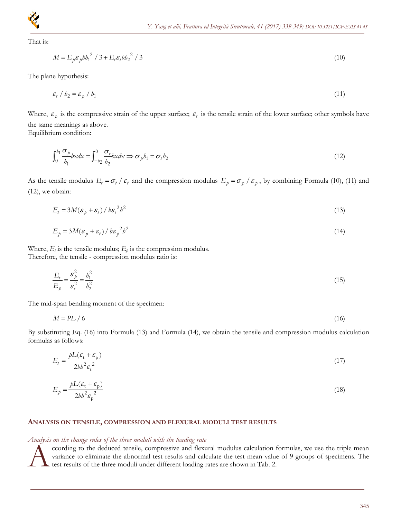

That is:

$$
M = E_p \varepsilon_p b h_1^2 / 3 + E_t \varepsilon_t b h_2^2 / 3
$$
\n<sup>(10)</sup>

The plane hypothesis:

$$
\varepsilon_t / b_2 = \varepsilon_p / b_1 \tag{11}
$$

Where,  $\varepsilon_p$  is the compressive strain of the upper surface;  $\varepsilon_t$  is the tensile strain of the lower surface; other symbols have the same meanings as above.

Equilibrium condition:

$$
\int_0^{b_1} \frac{\sigma_p}{b_1} b \times dx = \int_{-b_2}^0 \frac{\sigma_t}{b_2} b \times dx \implies \sigma_p b_1 = \sigma_t b_2 \tag{12}
$$

As the tensile modulus  $E_t = \sigma_t / \varepsilon_t$  and the compression modulus  $E_p = \sigma_p / \varepsilon_p$ , by combining Formula (10), (11) and (12), we obtain:

$$
E_t = 3M(\varepsilon_p + \varepsilon_t) / b\varepsilon_t^2 b^2
$$
\n<sup>(13)</sup>

$$
E_p = 3M(\varepsilon_p + \varepsilon_t) / b\varepsilon_p^2 b^2
$$
\n(14)

Where,  $E_t$  is the tensile modulus;  $E_p$  is the compression modulus. Therefore, the tensile - compression modulus ratio is:

$$
\frac{E_t}{E_p} = \frac{\varepsilon_p^2}{\varepsilon_t^2} = \frac{h_1^2}{h_2^2}
$$
\n(15)

The mid-span bending moment of the specimen:

$$
M = PL / 6 \tag{16}
$$

By substituting Eq. (16) into Formula (13) and Formula (14), we obtain the tensile and compression modulus calculation formulas as follows:

$$
E_t = \frac{pL(\varepsilon_t + \varepsilon_p)}{2bb^2 \varepsilon_t^2} \tag{17}
$$

$$
E_p = \frac{pL(\varepsilon_{\rm t} + \varepsilon_{\rm p})}{2bb^2 \varepsilon_{\rm p}^2} \tag{18}
$$

#### **ANALYSIS ON TENSILE, COMPRESSION AND FLEXURAL MODULI TEST RESULTS**

#### *Analysis on the change rules of the three moduli with the loading rate*

ccording to the deduced tensile, compressive and flexural modulus calculation formulas, we use the triple mean variance to eliminate the abnormal test results and calculate the test mean value of 9 groups of specimens. The test results of the three moduli under different loading rates are shown in Tab. 2.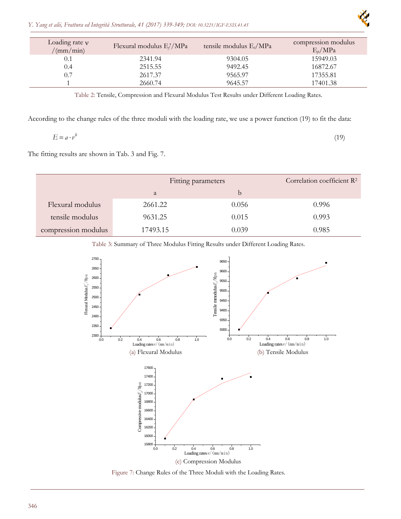

| Loading rate $\nu$<br>/(mm/min) | Flexural modulus E//MPa | tensile modulus $E_t/MPa$ | compression modulus<br>$E_p/MPa$ |
|---------------------------------|-------------------------|---------------------------|----------------------------------|
| 0.1                             | 2341.94                 | 9304.05                   | 15949.03                         |
| 0.4                             | 2515.55                 | 9492.45                   | 16872.67                         |
| 0.7                             | 2617.37                 | 9565.97                   | 17355.81                         |
|                                 | 2660.74                 | 9645.57                   | 17401.38                         |

Table 2: Tensile, Compression and Flexural Modulus Test Results under Different Loading Rates.

According to the change rules of the three moduli with the loading rate, we use a power function (19) to fit the data:

$$
E = a \cdot v^b \tag{19}
$$

The fitting results are shown in Tab. 3 and Fig. 7.

|                     | Fitting parameters |       | Correlation coefficient $\mathbb{R}^2$ |
|---------------------|--------------------|-------|----------------------------------------|
|                     | a                  | b     |                                        |
| Flexural modulus    | 2661.22            | 0.056 | 0.996                                  |
| tensile modulus     | 9631.25            | 0.015 | 0.993                                  |
| compression modulus | 17493.15           | 0.039 | 0.985                                  |

Table 3: Summary of Three Modulus Fitting Results under Different Loading Rates.



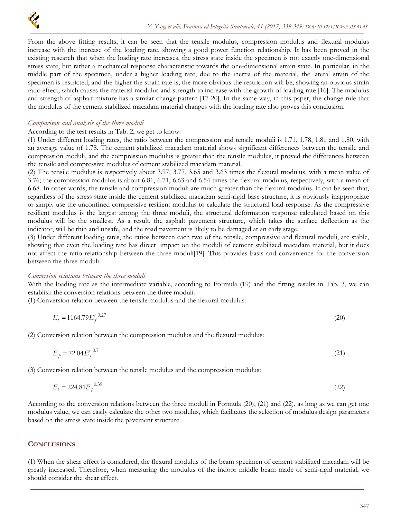

From the above fitting results, it can be seen that the tensile modulus, compression modulus and flexural modulus increase with the increase of the loading rate, showing a good power function relationship. It has been proved in the existing research that when the loading rate increases, the stress state inside the specimen is not exactly one-dimensional stress state, but rather a mechanical response characteristic towards the one-dimensional strain state. In particular, in the middle part of the specimen, under a higher loading rate, due to the inertia of the material, the lateral strain of the specimen is restricted, and the higher the strain rate is, the more obvious the restriction will be, showing an obvious strain ratio effect, which causes the material modulus and strength to increase with the growth of loading rate [16]. The modulus and strength of asphalt mixture has a similar change pattern [17-20]. In the same way, in this paper, the change rule that the modulus of the cement stabilized macadam material changes with the loading rate also proves this conclusion.

#### *Comparison and analysis of the three moduli*

According to the test results in Tab. 2, we get to know:

(1) Under different loading rates, the ratio between the compression and tensile moduli is 1.71, 1.78, 1.81 and 1.80, with an average value of 1.78. The cement stabilized macadam material shows significant differences between the tensile and compression moduli, and the compression modulus is greater than the tensile modulus, it proved the differences between the tensile and compressive modulus of cement stabilized macadam material.

(2) The tensile modulus is respectively about 3.97, 3.77, 3.65 and 3.63 times the flexural modulus, with a mean value of 3.76; the compression modulus is about 6.81, 6.71, 6.63 and 6.54 times the flexural modulus, respectively, with a mean of 6.68. In other words, the tensile and compression moduli are much greater than the flexural modulus. It can be seen that, regardless of the stress state inside the cement stabilized macadam semi-rigid base structure, it is obviously inappropriate to simply use the unconfined compressive resilient modulus to calculate the structural load response. As the compressive resilient modulus is the largest among the three moduli, the structural deformation response calculated based on this modulus will be the smallest. As a result, the asphalt pavement structure, which takes the surface deflection as the indicator, will be thin and unsafe, and the road pavement is likely to be damaged at an early stage.

(3) Under different loading rates, the ratios between each two of the tensile, compressive and flexural moduli, are stable, showing that even the loading rate has direct impact on the moduli of cement stabilized macadam material, but it does not affect the ratio relationship between the three moduli[19]. This provides basis and convenience for the conversion between the three moduli.

#### *Conversion relations between the three moduli*

With the loading rate as the intermediate variable, according to Formula (19) and the fitting results in Tab. 3, we can establish the conversion relations between the three moduli.

(1) Conversion relation between the tensile modulus and the flexural modulus:

$$
E_t = 1164.79 E_f^{\prime \, 0.27} \tag{20}
$$

(2) Conversion relation between the compression modulus and the flexural modulus:

 $E_p = 72.04 E_f^{\prime}$ <sup>0.7</sup> (21)

(3) Conversion relation between the tensile modulus and the compression modulus:

$$
E_t = 224.81 E_p^{0.39} \tag{22}
$$

According to the conversion relations between the three moduli in Formula (20), (21) and (22), as long as we can get one modulus value, we can easily calculate the other two modulus, which facilitates the selection of modulus design parameters based on the stress state inside the pavement structure.

#### **CONCLUSIONS**

(1) When the shear effect is considered, the flexural modulus of the beam specimen of cement stabilized macadam will be greatly increased. Therefore, when measuring the modulus of the indoor middle beam made of semi-rigid material, we should consider the shear effect.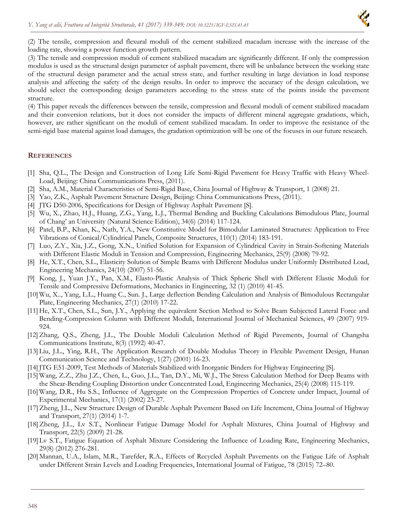

(2) The tensile, compression and flexural moduli of the cement stabilized macadam increase with the increase of the loading rate, showing a power function growth pattern.

(3) The tensile and compression moduli of cement stabilized macadam are significantly different. If only the compression modulus is used as the structural design parameter of asphalt pavement, there will be unbalance between the working state of the structural design parameter and the actual stress state, and further resulting in large deviation in load response analysis and affecting the safety of the design results. In order to improve the accuracy of the design calculation, we should select the corresponding design parameters according to the stress state of the points inside the pavement structure.

(4) This paper reveals the differences between the tensile, compression and flexural moduli of cement stabilized macadam and their conversion relations, but it does not consider the impacts of different mineral aggregate gradations, which, however, are rather significant on the moduli of cement stabilized macadam. In order to improve the resistance of the semi-rigid base material against load damages, the gradation optimization will be one of the focuses in our future research.

#### **REFERENCES**

- [1] Sha, Q.L., The Design and Construction of Long Life Semi-Rigid Pavement for Heavy Traffic with Heavy Wheel-Load, Beijing: China Communications Press, (2011).
- [2] Sha, A.M., Material Characteristics of Semi-Rigid Base, China Journal of Highway & Transport, 1 (2008) 21.
- [3] Yao, Z.K., Asphalt Pavement Structure Design, Beijing: China Communications Press, (2011).
- [4] JTG D50-2006, Specifications for Design of Highway Asphalt Pavement [S].
- [5] Wu, X., Zhao, H.J., Huang, Z.G., Yang, L.J., Thermal Bending and Buckling Calculations Bimodulous Plate, Journal of Chang' an University (Natural Science Edition), 34(6) (2014) 117-124.
- [6] Patel, B.P., Khan, K., Nath, Y.A., New Constitutive Model for Bimodular Laminated Structures: Application to Free Vibrations of Conical/Cylindrical Panels, Composite Structures, 110(1) (2014) 183-191.
- [7] Luo, Z.Y., Xia, J.Z., Gong, X.N., Unified Solution for Expansion of Cylindrical Cavity in Strain-Softening Materials with Different Elastic Moduli in Tension and Compression, Engineering Mechanics, 25(9) (2008) 79-92.
- [8] He, X.T., Chen, S.L., Elasticity Solution of Simple Beams with Different Modulus under Uniformly Distributed Load, Engineering Mechanics, 24(10) (2007) 51-56.
- [9] Kong, J., Yuan J.Y., Pan, X.M., Elasto-Plastic Analysis of Thick Spheric Shell with Different Elastic Moduli for Tensile and Compressive Deformations, Mechanics in Engineering, 32 (1) (2010) 41-45.
- [10] Wu, X.., Yang, L.L., Huang C., Sun. J., Large deflection Bending Calculation and Analysis of Bimodulous Rectangular Plate, Engineering Mechanics, 27(1) (2010) 17-22.
- [11] He, X.T., Chen, S.L., Sun, J.Y., Applying the equivalent Section Method to Solve Beam Subjected Lateral Force and Bending-Compression Column with Different Moduli, International Journal of Mechanical Sciences, 49 (2007) 919- 924.
- [12]Zhang, Q.S., Zheng, J.L., The Double Moduli Calculation Method of Rigid Pavements, Journal of Changsha Communications Institute, 8(3) (1992) 40-47.
- [13] Liu, J.L., Ying, R.H., The Application Research of Double Modulus Theory in Flexible Pavement Design, Hunan Communication Science and Technology, 1(27) (2001) 16-23.
- [14]JTG E51-2009, Test Methods of Materials Stabilized with Inorganic Binders for Highway Engineering [S].
- [15] Wang, Z.Z., Zhu J.Z., Chen, L., Guo, J.L., Tan, D.Y., Mi, W.J., The Stress Calculation Method for Deep Beams with the Shear-Bending Coupling Distortion under Concentrated Load, Engineering Mechanics, 25(4) (2008) 115-119.
- [16] Wang, D.R., Hu S.S., Influence of Aggregate on the Compression Properties of Concrete under Impact, Journal of Experimental Mechanics, 17(1) (2002) 23-27.
- [17]Zheng, J.L., New Structure Design of Durable Asphalt Pavement Based on Life Increment, China Journal of Highway and Transport, 27(1) (2014) 1-7.
- [18]Zheng, J.L., Lv S.T., Nonlinear Fatigue Damage Model for Asphalt Mixtures, China Journal of Highway and Transport, 22(5) (2009) 21-28.
- [19] Lv S.T., Fatigue Equation of Asphalt Mixture Considering the Influence of Loading Rate, Engineering Mechanics, 29(8) (2012) 276-281.
- [20] Mannan, U.A., Islam, M.R., Tarefder, R.A., Effects of Recycled Asphalt Pavements on the Fatigue Life of Asphalt under Different Strain Levels and Loading Frequencies, International Journal of Fatigue, 78 (2015) 72–80.